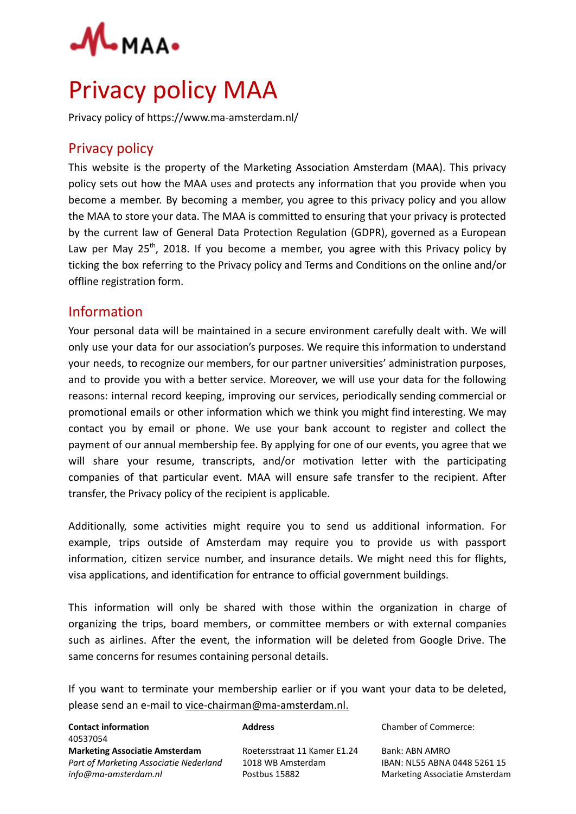

# Privacy policy MAA

Privacy policy of https://www.ma-amsterdam.nl/

## Privacy policy

This website is the property of the Marketing Association Amsterdam (MAA). This privacy policy sets out how the MAA uses and protects any information that you provide when you become a member. By becoming a member, you agree to this privacy policy and you allow the MAA to store your data. The MAA is committed to ensuring that your privacy is protected by the current law of General Data Protection Regulation (GDPR), governed as a European Law per May  $25<sup>th</sup>$ , 2018. If you become a member, you agree with this Privacy policy by ticking the box referring to the Privacy policy and Terms and Conditions on the online and/or offline registration form.

## Information

Your personal data will be maintained in a secure environment carefully dealt with. We will only use your data for our association's purposes. We require this information to understand your needs, to recognize our members, for our partner universities' administration purposes, and to provide you with a better service. Moreover, we will use your data for the following reasons: internal record keeping, improving our services, periodically sending commercial or promotional emails or other information which we think you might find interesting. We may contact you by email or phone. We use your bank account to register and collect the payment of our annual membership fee. By applying for one of our events, you agree that we will share your resume, transcripts, and/or motivation letter with the participating companies of that particular event. MAA will ensure safe transfer to the recipient. After transfer, the Privacy policy of the recipient is applicable.

Additionally, some activities might require you to send us additional information. For example, trips outside of Amsterdam may require you to provide us with passport information, citizen service number, and insurance details. We might need this for flights, visa applications, and identification for entrance to official government buildings.

This information will only be shared with those within the organization in charge of organizing the trips, board members, or committee members or with external companies such as airlines. After the event, the information will be deleted from Google Drive. The same concerns for resumes containing personal details.

If you want to terminate your membership earlier or if you want your data to be deleted, please send an e-mail to [vice-chairman@ma-amsterdam.nl.](mailto:vice-chairman@ma-amsterdam.nl)

| <b>Contact information</b>             | <b>Address</b>               | <b>Chamber of Commerce:</b>    |
|----------------------------------------|------------------------------|--------------------------------|
| 40537054                               |                              |                                |
| <b>Marketing Associatie Amsterdam</b>  | Roetersstraat 11 Kamer E1.24 | Bank: ABN AMRO                 |
| Part of Marketing Associatie Nederland | 1018 WB Amsterdam            | IBAN: NL55 ABNA 0448 5261 15   |
| info@ma-amsterdam.nl                   | Postbus 15882                | Marketing Associatie Amsterdam |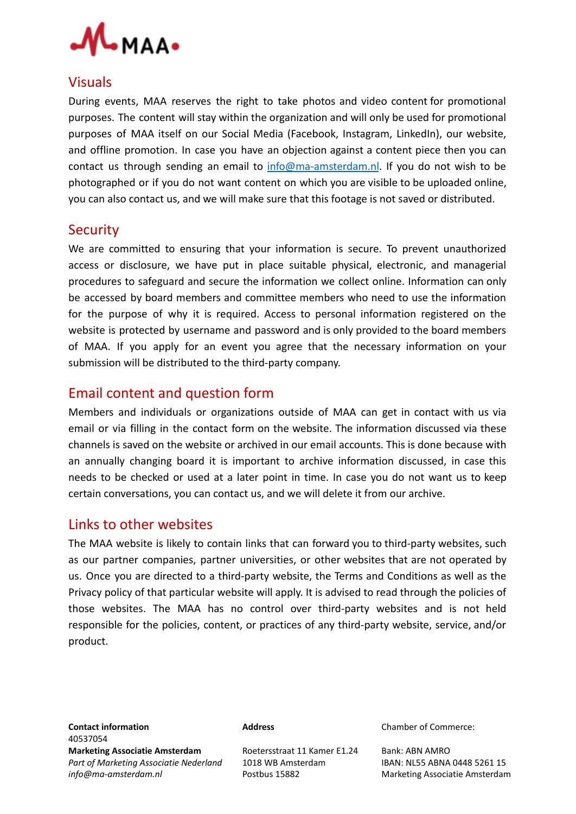

#### Visuals

During events, MAA reserves the right to take photos and video content for promotional purposes. The content will stay within the organization and will only be used for promotional purposes of MAA itself on our Social Media (Facebook, Instagram, LinkedIn), our website, and offline promotion. In case you have an objection against a content piece then you can contact us through sending an email to  $info@ma-amsterdam.nl$ . If you do not wish to be photographed or if you do not want content on which you are visible to be uploaded online, you can also contact us, and we will make sure that this footage is not saved or distributed.

## **Security**

We are committed to ensuring that your information is secure. To prevent unauthorized access or disclosure, we have put in place suitable physical, electronic, and managerial procedures to safeguard and secure the information we collect online. Information can only be accessed by board members and committee members who need to use the information for the purpose of why it is required. Access to personal information registered on the website is protected by username and password and is only provided to the board members of MAA. If you apply for an event you agree that the necessary information on your submission will be distributed to the third-party company.

## Email content and question form

Members and individuals or organizations outside of MAA can get in contact with us via email or via filling in the contact form on the website. The information discussed via these channels is saved on the website or archived in our email accounts. This is done because with an annually changing board it is important to archive information discussed, in case this needs to be checked or used at a later point in time. In case you do not want us to keep certain conversations, you can contact us, and we will delete it from our archive.

#### Links to other websites

The MAA website is likely to contain links that can forward you to third-party websites, such as our partner companies, partner universities, or other websites that are not operated by us. Once you are directed to a third-party website, the Terms and Conditions as well as the Privacy policy of that particular website will apply. It is advised to read through the policies of those websites. The MAA has no control over third-party websites and is not held responsible for the policies, content, or practices of any third-party website, service, and/or product.

**Contact information Commerce:** Address and Address chamber of Commerce: 40537054 **Marketing Associatie Amsterdam** Roetersstraat 11 Kamer E1.24 Bank: ABN AMRO *Part of Marketing Associatie Nederland* 1018 WB Amsterdam IBAN: NL55 ABNA 0448 5261 15 *info@ma-amsterdam.nl* Postbus 15882 Marketing Associatie Amsterdam